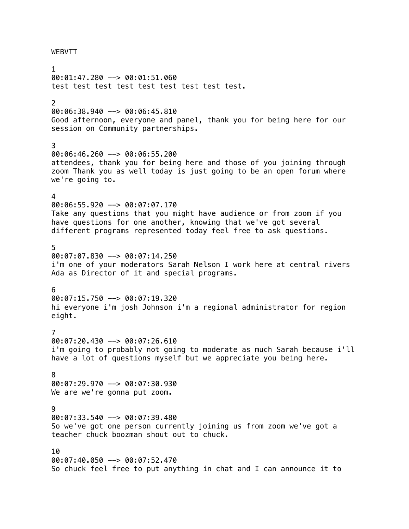## WEBVTT

1 00:01:47.280 --> 00:01:51.060 test test test test test test test test test. 2 00:06:38.940 --> 00:06:45.810 Good afternoon, everyone and panel, thank you for being here for our session on Community partnerships. 3 00:06:46.260 --> 00:06:55.200 attendees, thank you for being here and those of you joining through zoom Thank you as well today is just going to be an open forum where we're going to. 4 00:06:55.920 --> 00:07:07.170 Take any questions that you might have audience or from zoom if you have questions for one another, knowing that we've got several different programs represented today feel free to ask questions. 5 00:07:07.830 --> 00:07:14.250 i'm one of your moderators Sarah Nelson I work here at central rivers Ada as Director of it and special programs. 6  $00:07:15.750$  -->  $00:07:19.320$ hi everyone i'm josh Johnson i'm a regional administrator for region eight. 7 00:07:20.430 --> 00:07:26.610 i'm going to probably not going to moderate as much Sarah because i'll have a lot of questions myself but we appreciate you being here. 8 00:07:29.970 --> 00:07:30.930 We are we're gonna put zoom. 9 00:07:33.540 --> 00:07:39.480 So we've got one person currently joining us from zoom we've got a teacher chuck boozman shout out to chuck. 10 00:07:40.050 --> 00:07:52.470 So chuck feel free to put anything in chat and I can announce it to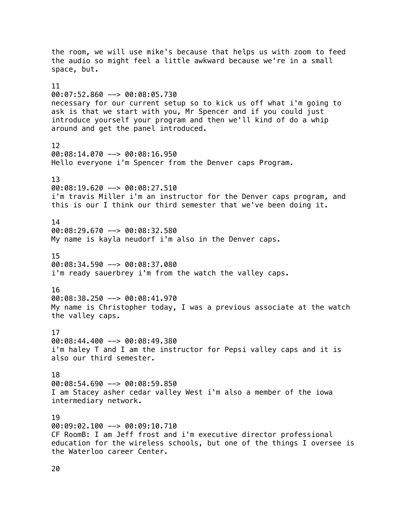the room, we will use mike's because that helps us with zoom to feed the audio so might feel a little awkward because we're in a small space, but. 11 00:07:52.860 --> 00:08:05.730 necessary for our current setup so to kick us off what i'm going to ask is that we start with you, Mr Spencer and if you could just introduce yourself your program and then we'll kind of do a whip around and get the panel introduced. 12 00:08:14.070 --> 00:08:16.950 Hello everyone i'm Spencer from the Denver caps Program. 13 00:08:19.620 --> 00:08:27.510 i'm travis Miller i'm an instructor for the Denver caps program, and this is our I think our third semester that we've been doing it. 14 00:08:29.670 --> 00:08:32.580 My name is kayla neudorf i'm also in the Denver caps. 15 00:08:34.590 --> 00:08:37.080 i'm ready sauerbrey i'm from the watch the valley caps. 16 00:08:38.250 --> 00:08:41.970 My name is Christopher today, I was a previous associate at the watch the valley caps. 17 00:08:44.400 --> 00:08:49.380 i'm haley T and I am the instructor for Pepsi valley caps and it is also our third semester. 18  $00:08:54.690$  -->  $00:08:59.850$ I am Stacey asher cedar valley West i'm also a member of the iowa intermediary network. 19 00:09:02.100 --> 00:09:10.710 CF RoomB: I am Jeff frost and i'm executive director professional education for the wireless schools, but one of the things I oversee is the Waterloo career Center.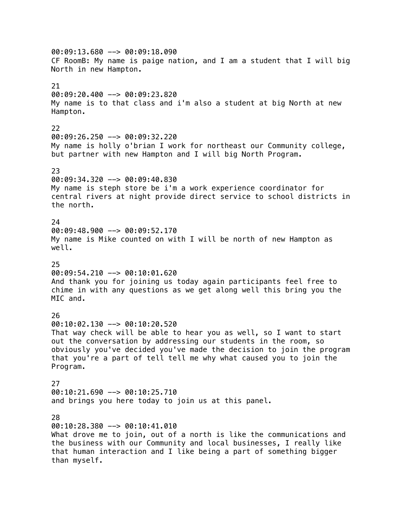00:09:13.680 --> 00:09:18.090 CF RoomB: My name is paige nation, and I am a student that I will big North in new Hampton. 21 00:09:20.400 --> 00:09:23.820 My name is to that class and i'm also a student at big North at new Hampton. 22 00:09:26.250 --> 00:09:32.220 My name is holly o'brian I work for northeast our Community college, but partner with new Hampton and I will big North Program. 23 00:09:34.320 --> 00:09:40.830 My name is steph store be i'm a work experience coordinator for central rivers at night provide direct service to school districts in the north. 24 00:09:48.900 --> 00:09:52.170 My name is Mike counted on with I will be north of new Hampton as well. 25 00:09:54.210 --> 00:10:01.620 And thank you for joining us today again participants feel free to chime in with any questions as we get along well this bring you the MIC and. 26 00:10:02.130 --> 00:10:20.520 That way check will be able to hear you as well, so I want to start out the conversation by addressing our students in the room, so obviously you've decided you've made the decision to join the program that you're a part of tell tell me why what caused you to join the Program. 27 00:10:21.690 --> 00:10:25.710 and brings you here today to join us at this panel. 28 00:10:28.380 --> 00:10:41.010 What drove me to join, out of a north is like the communications and the business with our Community and local businesses, I really like that human interaction and I like being a part of something bigger than myself.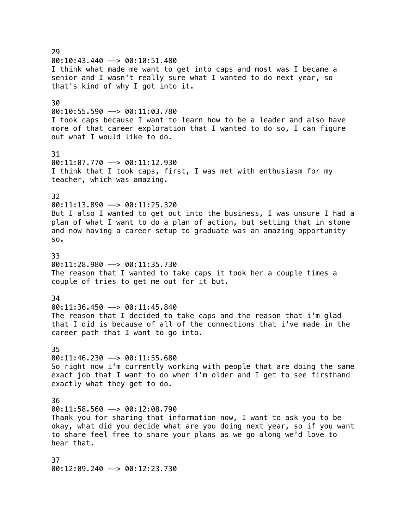$29$  $00:10:43.440$  -->  $00:10:51.480$ I think what made me want to get into caps and most was I became a senior and I wasn't really sure what I wanted to do next year, so that's kind of why I got into it. 30  $00:10:55.590$  -->  $00:11:03.780$ I took caps because I want to learn how to be a leader and also have more of that career exploration that I wanted to do so, I can figure out what I would like to do. 31 00:11:07.770 --> 00:11:12.930 I think that I took caps, first, I was met with enthusiasm for my teacher, which was amazing. 32 00:11:13.890 --> 00:11:25.320 But I also I wanted to get out into the business, I was unsure I had a plan of what I want to do a plan of action, but setting that in stone and now having a career setup to graduate was an amazing opportunity so. 33 00:11:28.980 --> 00:11:35.730 The reason that I wanted to take caps it took her a couple times a couple of tries to get me out for it but. 34  $00:11:36.450$  -->  $00:11:45.840$ The reason that I decided to take caps and the reason that i'm glad that I did is because of all of the connections that i've made in the career path that I want to go into. 35  $00:11:46.230$  -->  $00:11:55.680$ So right now i'm currently working with people that are doing the same exact job that I want to do when i'm older and I get to see firsthand exactly what they get to do. 36 00:11:58.560 --> 00:12:08.790 Thank you for sharing that information now, I want to ask you to be okay, what did you decide what are you doing next year, so if you want to share feel free to share your plans as we go along we'd love to hear that. 37 00:12:09.240 --> 00:12:23.730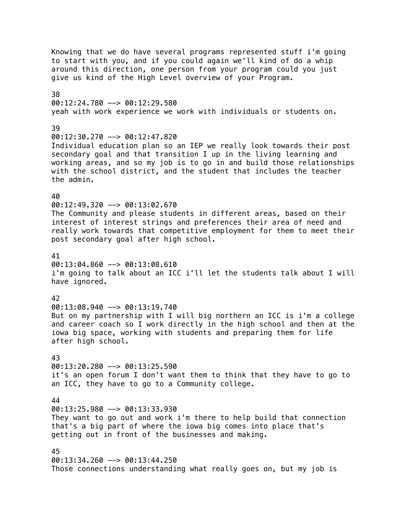Knowing that we do have several programs represented stuff i'm going to start with you, and if you could again we'll kind of do a whip around this direction, one person from your program could you just give us kind of the High Level overview of your Program. 38 00:12:24.780 --> 00:12:29.580 yeah with work experience we work with individuals or students on. 39  $00:12:30.270$  -->  $00:12:47.820$ Individual education plan so an IEP we really look towards their post secondary goal and that transition I up in the living learning and working areas, and so my job is to go in and build those relationships with the school district, and the student that includes the teacher the admin. 40 00:12:49.320 --> 00:13:02.670 The Community and please students in different areas, based on their interest of interest strings and preferences their area of need and really work towards that competitive employment for them to meet their post secondary goal after high school. 41  $00:13:04.860$  -->  $00:13:08.610$ i'm going to talk about an ICC i'll let the students talk about I will have ignored. 42 00:13:08.940 --> 00:13:19.740 But on my partnership with I will big northern an ICC is i'm a college and career coach so I work directly in the high school and then at the iowa big space, working with students and preparing them for life after high school. 43 00:13:20.280 --> 00:13:25.590 it's an open forum I don't want them to think that they have to go to an ICC, they have to go to a Community college. 44 00:13:25.980 --> 00:13:33.930 They want to go out and work i'm there to help build that connection that's a big part of where the iowa big comes into place that's getting out in front of the businesses and making. 45 00:13:34.260 --> 00:13:44.250 Those connections understanding what really goes on, but my job is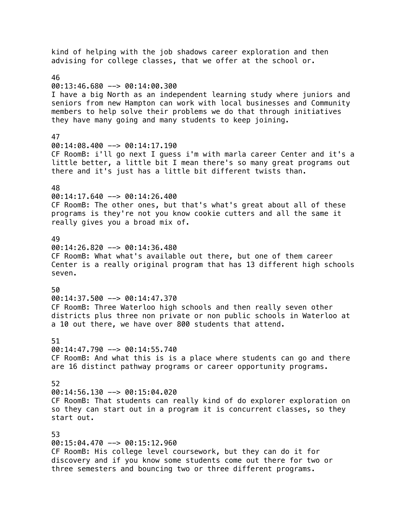kind of helping with the job shadows career exploration and then advising for college classes, that we offer at the school or. 46 00:13:46.680 --> 00:14:00.300 I have a big North as an independent learning study where juniors and seniors from new Hampton can work with local businesses and Community members to help solve their problems we do that through initiatives they have many going and many students to keep joining. 47 00:14:08.400 --> 00:14:17.190 CF RoomB: i'll go next I guess i'm with marla career Center and it's a little better, a little bit I mean there's so many great programs out there and it's just has a little bit different twists than. 48 00:14:17.640 --> 00:14:26.400 CF RoomB: The other ones, but that's what's great about all of these programs is they're not you know cookie cutters and all the same it really gives you a broad mix of. 49  $00:14:26.820$  -->  $00:14:36.480$ CF RoomB: What what's available out there, but one of them career Center is a really original program that has 13 different high schools seven. 50 00:14:37.500 --> 00:14:47.370 CF RoomB: Three Waterloo high schools and then really seven other districts plus three non private or non public schools in Waterloo at a 10 out there, we have over 800 students that attend. 51 00:14:47.790 --> 00:14:55.740 CF RoomB: And what this is is a place where students can go and there are 16 distinct pathway programs or career opportunity programs. 52 00:14:56.130 --> 00:15:04.020 CF RoomB: That students can really kind of do explorer exploration on so they can start out in a program it is concurrent classes, so they start out. 53 00:15:04.470 --> 00:15:12.960 CF RoomB: His college level coursework, but they can do it for discovery and if you know some students come out there for two or three semesters and bouncing two or three different programs.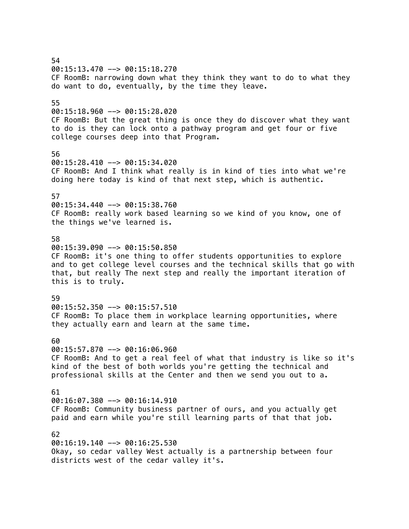54 00:15:13.470 --> 00:15:18.270 CF RoomB: narrowing down what they think they want to do to what they do want to do, eventually, by the time they leave. 55 00:15:18.960 --> 00:15:28.020 CF RoomB: But the great thing is once they do discover what they want to do is they can lock onto a pathway program and get four or five college courses deep into that Program. 56 00:15:28.410 --> 00:15:34.020 CF RoomB: And I think what really is in kind of ties into what we're doing here today is kind of that next step, which is authentic. 57 00:15:34.440 --> 00:15:38.760 CF RoomB: really work based learning so we kind of you know, one of the things we've learned is. 58 00:15:39.090 --> 00:15:50.850 CF RoomB: it's one thing to offer students opportunities to explore and to get college level courses and the technical skills that go with that, but really The next step and really the important iteration of this is to truly. 59 00:15:52.350 --> 00:15:57.510 CF RoomB: To place them in workplace learning opportunities, where they actually earn and learn at the same time. 60 00:15:57.870 --> 00:16:06.960 CF RoomB: And to get a real feel of what that industry is like so it's kind of the best of both worlds you're getting the technical and professional skills at the Center and then we send you out to a. 61 00:16:07.380 --> 00:16:14.910 CF RoomB: Community business partner of ours, and you actually get paid and earn while you're still learning parts of that that job. 62 00:16:19.140 --> 00:16:25.530 Okay, so cedar valley West actually is a partnership between four districts west of the cedar valley it's.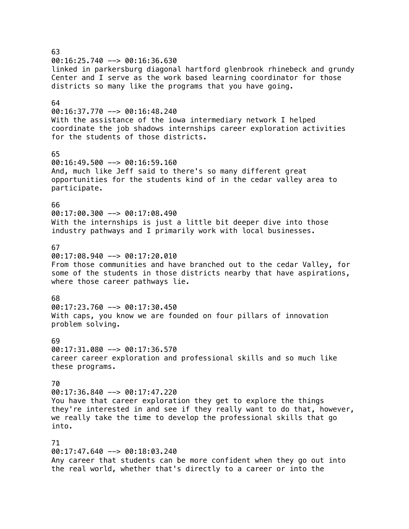63  $00:16:25.740$  -->  $00:16:36.630$ linked in parkersburg diagonal hartford glenbrook rhinebeck and grundy Center and I serve as the work based learning coordinator for those districts so many like the programs that you have going. 64  $00:16:37.770$  -->  $00:16:48.240$ With the assistance of the iowa intermediary network I helped coordinate the job shadows internships career exploration activities for the students of those districts. 65 00:16:49.500 --> 00:16:59.160 And, much like Jeff said to there's so many different great opportunities for the students kind of in the cedar valley area to participate. 66 00:17:00.300 --> 00:17:08.490 With the internships is just a little bit deeper dive into those industry pathways and I primarily work with local businesses. 67  $0.01:17:08.940$  -->  $0.01:17:20.010$ From those communities and have branched out to the cedar Valley, for some of the students in those districts nearby that have aspirations, where those career pathways lie. 68  $00:17:23.760$  -->  $00:17:30.450$ With caps, you know we are founded on four pillars of innovation problem solving. 69 00:17:31.080 --> 00:17:36.570 career career exploration and professional skills and so much like these programs. 70 00:17:36.840 --> 00:17:47.220 You have that career exploration they get to explore the things they're interested in and see if they really want to do that, however, we really take the time to develop the professional skills that go into. 71 00:17:47.640 --> 00:18:03.240 Any career that students can be more confident when they go out into the real world, whether that's directly to a career or into the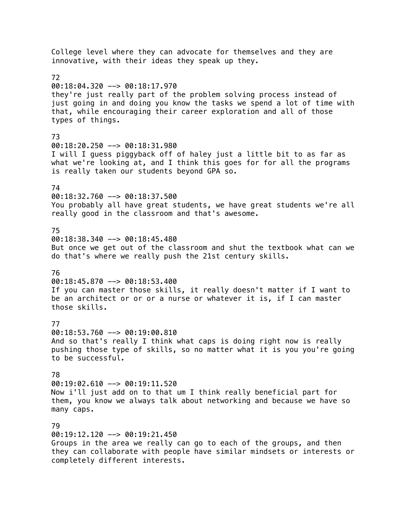College level where they can advocate for themselves and they are innovative, with their ideas they speak up they. 72 00:18:04.320 --> 00:18:17.970 they're just really part of the problem solving process instead of just going in and doing you know the tasks we spend a lot of time with that, while encouraging their career exploration and all of those types of things. 73 00:18:20.250 --> 00:18:31.980 I will I guess piggyback off of haley just a little bit to as far as what we're looking at, and I think this goes for for all the programs is really taken our students beyond GPA so. 74 00:18:32.760 --> 00:18:37.500 You probably all have great students, we have great students we're all really good in the classroom and that's awesome. 75 00:18:38.340 --> 00:18:45.480 But once we get out of the classroom and shut the textbook what can we do that's where we really push the 21st century skills. 76 00:18:45.870 --> 00:18:53.400 If you can master those skills, it really doesn't matter if I want to be an architect or or or a nurse or whatever it is, if I can master those skills. 77 00:18:53.760 --> 00:19:00.810 And so that's really I think what caps is doing right now is really pushing those type of skills, so no matter what it is you you're going to be successful. 78 00:19:02.610 --> 00:19:11.520 Now i'll just add on to that um I think really beneficial part for them, you know we always talk about networking and because we have so many caps. 79 00:19:12.120 --> 00:19:21.450 Groups in the area we really can go to each of the groups, and then they can collaborate with people have similar mindsets or interests or

completely different interests.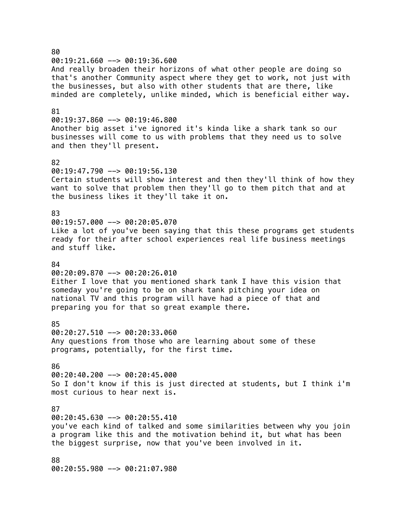80  $00:19:21.660$  -->  $00:19:36.600$ And really broaden their horizons of what other people are doing so that's another Community aspect where they get to work, not just with the businesses, but also with other students that are there, like minded are completely, unlike minded, which is beneficial either way. 81 00:19:37.860 --> 00:19:46.800 Another big asset i've ignored it's kinda like a shark tank so our businesses will come to us with problems that they need us to solve and then they'll present. 82  $00:19:47.790$  -->  $00:19:56.130$ Certain students will show interest and then they'll think of how they want to solve that problem then they'll go to them pitch that and at the business likes it they'll take it on. 83 00:19:57.000 --> 00:20:05.070 Like a lot of you've been saying that this these programs get students ready for their after school experiences real life business meetings and stuff like. 84 00:20:09.870 --> 00:20:26.010 Either I love that you mentioned shark tank I have this vision that someday you're going to be on shark tank pitching your idea on national TV and this program will have had a piece of that and preparing you for that so great example there. 85 00:20:27.510 --> 00:20:33.060 Any questions from those who are learning about some of these programs, potentially, for the first time. 86 00:20:40.200 --> 00:20:45.000 So I don't know if this is just directed at students, but I think i'm most curious to hear next is. 87 00:20:45.630 --> 00:20:55.410 you've each kind of talked and some similarities between why you join a program like this and the motivation behind it, but what has been the biggest surprise, now that you've been involved in it. 88 00:20:55.980 --> 00:21:07.980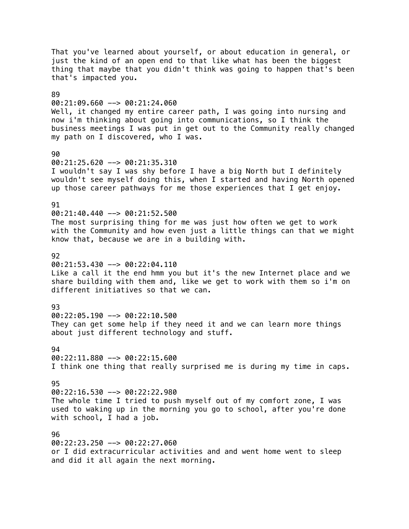That you've learned about yourself, or about education in general, or just the kind of an open end to that like what has been the biggest thing that maybe that you didn't think was going to happen that's been that's impacted you. 89 00:21:09.660 --> 00:21:24.060 Well, it changed my entire career path, I was going into nursing and now i'm thinking about going into communications, so I think the business meetings I was put in get out to the Community really changed my path on I discovered, who I was. 90 00:21:25.620 --> 00:21:35.310 I wouldn't say I was shy before I have a big North but I definitely wouldn't see myself doing this, when I started and having North opened up those career pathways for me those experiences that I get enjoy. 91 00:21:40.440 --> 00:21:52.500 The most surprising thing for me was just how often we get to work with the Community and how even just a little things can that we might know that, because we are in a building with. 92  $00:21:53.430$  -->  $00:22:04.110$ Like a call it the end hmm you but it's the new Internet place and we share building with them and, like we get to work with them so i'm on different initiatives so that we can. 93 00:22:05.190 --> 00:22:10.500 They can get some help if they need it and we can learn more things about just different technology and stuff. 94  $00:22:11.880$  -->  $00:22:15.600$ I think one thing that really surprised me is during my time in caps. 95 00:22:16.530 --> 00:22:22.980 The whole time I tried to push myself out of my comfort zone, I was used to waking up in the morning you go to school, after you're done with school, I had a job. 96 00:22:23.250 --> 00:22:27.060 or I did extracurricular activities and and went home went to sleep and did it all again the next morning.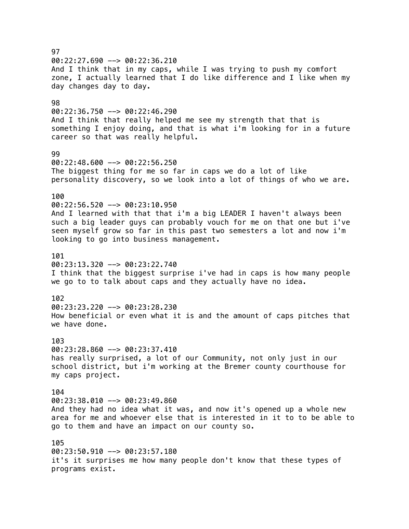## 97 00:22:27.690 --> 00:22:36.210 And I think that in my caps, while I was trying to push my comfort zone, I actually learned that I do like difference and I like when my day changes day to day. 98 00:22:36.750 --> 00:22:46.290 And I think that really helped me see my strength that that is something I enjoy doing, and that is what i'm looking for in a future career so that was really helpful. 99 00:22:48.600 --> 00:22:56.250 The biggest thing for me so far in caps we do a lot of like personality discovery, so we look into a lot of things of who we are. 100 00:22:56.520 --> 00:23:10.950 And I learned with that that i'm a big LEADER I haven't always been such a big leader guys can probably vouch for me on that one but i've seen myself grow so far in this past two semesters a lot and now i'm looking to go into business management. 101 00:23:13.320 --> 00:23:22.740 I think that the biggest surprise i've had in caps is how many people we go to to talk about caps and they actually have no idea. 102  $00:23:23.220$  -->  $00:23:28.230$ How beneficial or even what it is and the amount of caps pitches that we have done. 103 00:23:28.860 --> 00:23:37.410 has really surprised, a lot of our Community, not only just in our school district, but i'm working at the Bremer county courthouse for my caps project. 104 00:23:38.010 --> 00:23:49.860 And they had no idea what it was, and now it's opened up a whole new area for me and whoever else that is interested in it to to be able to go to them and have an impact on our county so. 105 00:23:50.910 --> 00:23:57.180 it's it surprises me how many people don't know that these types of programs exist.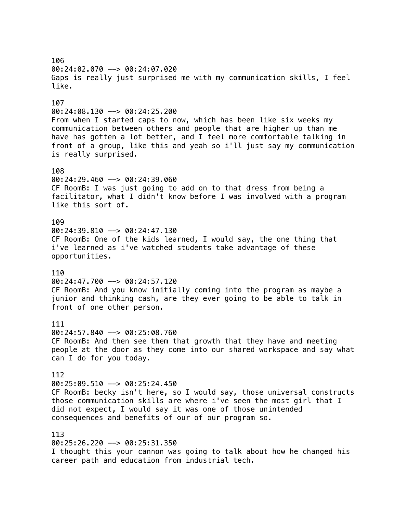106 00:24:02.070 --> 00:24:07.020 Gaps is really just surprised me with my communication skills, I feel like. 107 00:24:08.130 --> 00:24:25.200 From when I started caps to now, which has been like six weeks my communication between others and people that are higher up than me have has gotten a lot better, and I feel more comfortable talking in front of a group, like this and yeah so i'll just say my communication is really surprised. 108 00:24:29.460 --> 00:24:39.060 CF RoomB: I was just going to add on to that dress from being a facilitator, what I didn't know before I was involved with a program like this sort of. 109 00:24:39.810 --> 00:24:47.130 CF RoomB: One of the kids learned, I would say, the one thing that i've learned as i've watched students take advantage of these opportunities. 110 00:24:47.700 --> 00:24:57.120 CF RoomB: And you know initially coming into the program as maybe a junior and thinking cash, are they ever going to be able to talk in front of one other person. 111 00:24:57.840 --> 00:25:08.760 CF RoomB: And then see them that growth that they have and meeting people at the door as they come into our shared workspace and say what can I do for you today. 112 00:25:09.510 --> 00:25:24.450 CF RoomB: becky isn't here, so I would say, those universal constructs those communication skills are where i've seen the most girl that I did not expect, I would say it was one of those unintended consequences and benefits of our of our program so. 113 00:25:26.220 --> 00:25:31.350

I thought this your cannon was going to talk about how he changed his career path and education from industrial tech.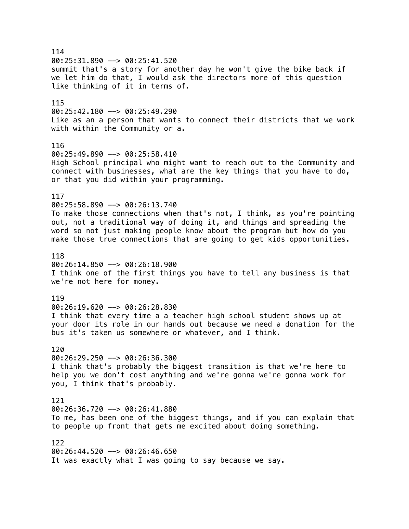114 00:25:31.890 --> 00:25:41.520 summit that's a story for another day he won't give the bike back if we let him do that, I would ask the directors more of this question like thinking of it in terms of. 115  $00:25:42.180$  -->  $00:25:49.290$ Like as an a person that wants to connect their districts that we work with within the Community or a. 116 00:25:49.890 --> 00:25:58.410 High School principal who might want to reach out to the Community and connect with businesses, what are the key things that you have to do, or that you did within your programming. 117 00:25:58.890 --> 00:26:13.740 To make those connections when that's not, I think, as you're pointing out, not a traditional way of doing it, and things and spreading the word so not just making people know about the program but how do you make those true connections that are going to get kids opportunities. 118 00:26:14.850 --> 00:26:18.900 I think one of the first things you have to tell any business is that we're not here for money. 119 00:26:19.620 --> 00:26:28.830 I think that every time a a teacher high school student shows up at your door its role in our hands out because we need a donation for the bus it's taken us somewhere or whatever, and I think. 120  $00:26:29.250$  -->  $00:26:36.300$ I think that's probably the biggest transition is that we're here to help you we don't cost anything and we're gonna we're gonna work for you, I think that's probably. 121 00:26:36.720 --> 00:26:41.880 To me, has been one of the biggest things, and if you can explain that to people up front that gets me excited about doing something. 122 00:26:44.520 --> 00:26:46.650 It was exactly what I was going to say because we say.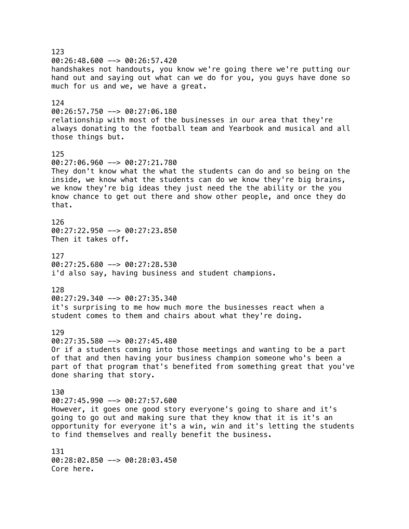123 00:26:48.600 --> 00:26:57.420 handshakes not handouts, you know we're going there we're putting our hand out and saying out what can we do for you, you guys have done so much for us and we, we have a great. 124  $00:26:57.750$  -->  $00:27:06.180$ relationship with most of the businesses in our area that they're always donating to the football team and Yearbook and musical and all those things but. 125 00:27:06.960 --> 00:27:21.780 They don't know what the what the students can do and so being on the inside, we know what the students can do we know they're big brains, we know they're big ideas they just need the the ability or the you know chance to get out there and show other people, and once they do that. 126 00:27:22.950 --> 00:27:23.850 Then it takes off. 127 00:27:25.680 --> 00:27:28.530 i'd also say, having business and student champions. 128 00:27:29.340 --> 00:27:35.340 it's surprising to me how much more the businesses react when a student comes to them and chairs about what they're doing. 129 00:27:35.580 --> 00:27:45.480 Or if a students coming into those meetings and wanting to be a part of that and then having your business champion someone who's been a part of that program that's benefited from something great that you've done sharing that story. 130 00:27:45.990 --> 00:27:57.600 However, it goes one good story everyone's going to share and it's going to go out and making sure that they know that it is it's an opportunity for everyone it's a win, win and it's letting the students to find themselves and really benefit the business. 131 00:28:02.850 --> 00:28:03.450 Core here.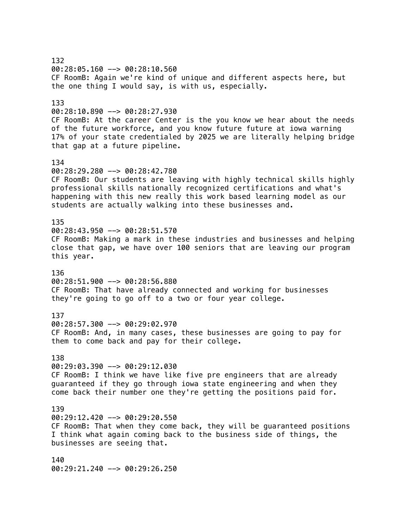132 00:28:05.160 --> 00:28:10.560 CF RoomB: Again we're kind of unique and different aspects here, but the one thing I would say, is with us, especially. 133  $00:28:10.890$  -->  $00:28:27.930$ CF RoomB: At the career Center is the you know we hear about the needs of the future workforce, and you know future future at iowa warning 17% of your state credentialed by 2025 we are literally helping bridge that gap at a future pipeline. 134 00:28:29.280 --> 00:28:42.780 CF RoomB: Our students are leaving with highly technical skills highly professional skills nationally recognized certifications and what's happening with this new really this work based learning model as our students are actually walking into these businesses and. 135 00:28:43.950 --> 00:28:51.570 CF RoomB: Making a mark in these industries and businesses and helping close that gap, we have over 100 seniors that are leaving our program this year. 136 00:28:51.900 --> 00:28:56.880 CF RoomB: That have already connected and working for businesses they're going to go off to a two or four year college. 137 00:28:57.300 --> 00:29:02.970 CF RoomB: And, in many cases, these businesses are going to pay for them to come back and pay for their college. 138 00:29:03.390 --> 00:29:12.030 CF RoomB: I think we have like five pre engineers that are already guaranteed if they go through iowa state engineering and when they come back their number one they're getting the positions paid for. 139 00:29:12.420 --> 00:29:20.550 CF RoomB: That when they come back, they will be guaranteed positions I think what again coming back to the business side of things, the businesses are seeing that. 140 00:29:21.240 --> 00:29:26.250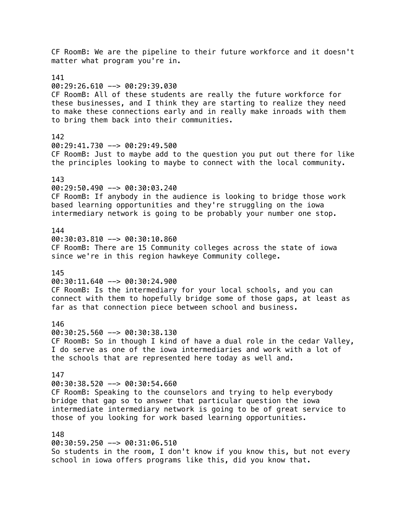CF RoomB: We are the pipeline to their future workforce and it doesn't matter what program you're in. 141 00:29:26.610 --> 00:29:39.030 CF RoomB: All of these students are really the future workforce for these businesses, and I think they are starting to realize they need to make these connections early and in really make inroads with them to bring them back into their communities. 142 00:29:41.730 --> 00:29:49.500 CF RoomB: Just to maybe add to the question you put out there for like the principles looking to maybe to connect with the local community. 143 00:29:50.490 --> 00:30:03.240 CF RoomB: If anybody in the audience is looking to bridge those work based learning opportunities and they're struggling on the iowa intermediary network is going to be probably your number one stop. 144 00:30:03.810 --> 00:30:10.860 CF RoomB: There are 15 Community colleges across the state of iowa since we're in this region hawkeye Community college. 145 00:30:11.640 --> 00:30:24.900 CF RoomB: Is the intermediary for your local schools, and you can connect with them to hopefully bridge some of those gaps, at least as far as that connection piece between school and business. 146 00:30:25.560 --> 00:30:38.130 CF RoomB: So in though I kind of have a dual role in the cedar Valley, I do serve as one of the iowa intermediaries and work with a lot of the schools that are represented here today as well and. 147 00:30:38.520 --> 00:30:54.660 CF RoomB: Speaking to the counselors and trying to help everybody bridge that gap so to answer that particular question the iowa intermediate intermediary network is going to be of great service to those of you looking for work based learning opportunities. 148 00:30:59.250 --> 00:31:06.510 So students in the room, I don't know if you know this, but not every

school in iowa offers programs like this, did you know that.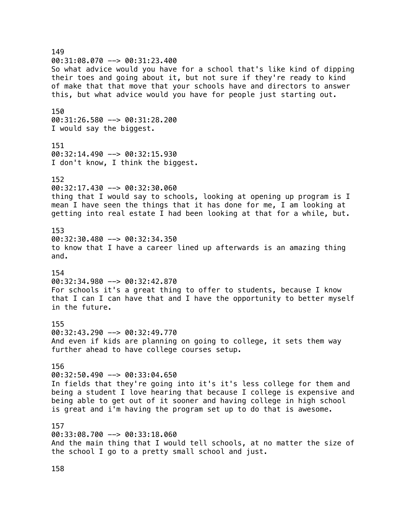149  $00:31:08.070$  -->  $00:31:23.400$ So what advice would you have for a school that's like kind of dipping their toes and going about it, but not sure if they're ready to kind of make that that move that your schools have and directors to answer this, but what advice would you have for people just starting out. 150 00:31:26.580 --> 00:31:28.200 I would say the biggest. 151 00:32:14.490 --> 00:32:15.930 I don't know, I think the biggest. 152 00:32:17.430 --> 00:32:30.060 thing that I would say to schools, looking at opening up program is I mean I have seen the things that it has done for me, I am looking at getting into real estate I had been looking at that for a while, but. 153  $00:32:30.480$  -->  $00:32:34.350$ to know that I have a career lined up afterwards is an amazing thing and. 154 00:32:34.980 --> 00:32:42.870 For schools it's a great thing to offer to students, because I know that I can I can have that and I have the opportunity to better myself in the future. 155 00:32:43.290 --> 00:32:49.770 And even if kids are planning on going to college, it sets them way further ahead to have college courses setup. 156  $00:32:50.490$  -->  $00:33:04.650$ In fields that they're going into it's it's less college for them and being a student I love hearing that because I college is expensive and being able to get out of it sooner and having college in high school is great and i'm having the program set up to do that is awesome. 157 00:33:08.700 --> 00:33:18.060 And the main thing that I would tell schools, at no matter the size of the school I go to a pretty small school and just.

158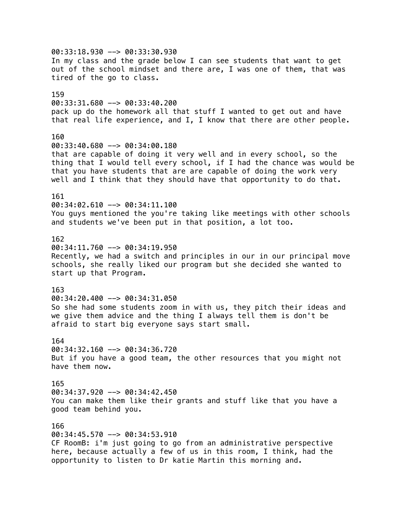00:33:18.930 --> 00:33:30.930 In my class and the grade below I can see students that want to get out of the school mindset and there are, I was one of them, that was tired of the go to class. 159 00:33:31.680 --> 00:33:40.200 pack up do the homework all that stuff I wanted to get out and have that real life experience, and I, I know that there are other people. 160 00:33:40.680 --> 00:34:00.180 that are capable of doing it very well and in every school, so the thing that I would tell every school, if I had the chance was would be that you have students that are are capable of doing the work very well and I think that they should have that opportunity to do that. 161 00:34:02.610 --> 00:34:11.100 You guys mentioned the you're taking like meetings with other schools and students we've been put in that position, a lot too. 162  $00:34:11.760$  -->  $00:34:19.950$ Recently, we had a switch and principles in our in our principal move schools, she really liked our program but she decided she wanted to start up that Program. 163 00:34:20.400 --> 00:34:31.050 So she had some students zoom in with us, they pitch their ideas and we give them advice and the thing I always tell them is don't be afraid to start big everyone says start small. 164 00:34:32.160 --> 00:34:36.720 But if you have a good team, the other resources that you might not have them now. 165 00:34:37.920 --> 00:34:42.450 You can make them like their grants and stuff like that you have a good team behind you. 166 00:34:45.570 --> 00:34:53.910 CF RoomB: i'm just going to go from an administrative perspective here, because actually a few of us in this room, I think, had the

opportunity to listen to Dr katie Martin this morning and.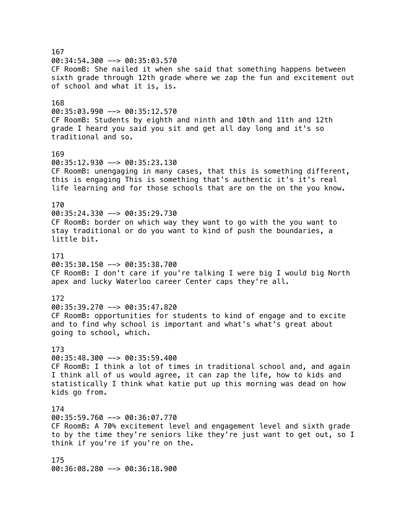167  $00:34:54.300$  -->  $00:35:03.570$ CF RoomB: She nailed it when she said that something happens between sixth grade through 12th grade where we zap the fun and excitement out of school and what it is, is. 168  $00:35:03.990$  -->  $00:35:12.570$ CF RoomB: Students by eighth and ninth and 10th and 11th and 12th grade I heard you said you sit and get all day long and it's so traditional and so. 169 00:35:12.930 --> 00:35:23.130 CF RoomB: unengaging in many cases, that this is something different, this is engaging This is something that's authentic it's it's real life learning and for those schools that are on the on the you know. 170 00:35:24.330 --> 00:35:29.730 CF RoomB: border on which way they want to go with the you want to stay traditional or do you want to kind of push the boundaries, a little bit. 171 00:35:30.150 --> 00:35:38.700 CF RoomB: I don't care if you're talking I were big I would big North apex and lucky Waterloo career Center caps they're all. 172  $00:35:39.270$  -->  $00:35:47.820$ CF RoomB: opportunities for students to kind of engage and to excite and to find why school is important and what's what's great about going to school, which. 173  $00:35:48.300$  -->  $00:35:59.400$ CF RoomB: I think a lot of times in traditional school and, and again I think all of us would agree, it can zap the life, how to kids and statistically I think what katie put up this morning was dead on how kids go from. 174 00:35:59.760 --> 00:36:07.770 CF RoomB: A 70% excitement level and engagement level and sixth grade to by the time they're seniors like they're just want to get out, so I think if you're if you're on the. 175 00:36:08.280 --> 00:36:18.900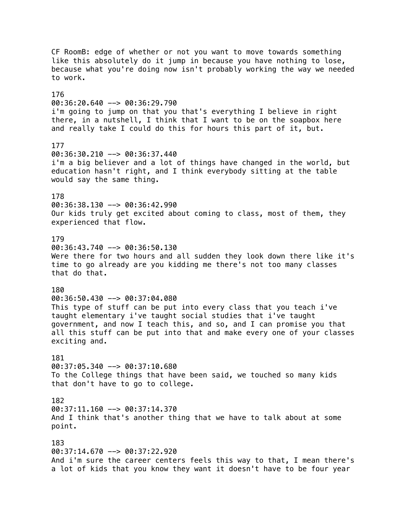CF RoomB: edge of whether or not you want to move towards something like this absolutely do it jump in because you have nothing to lose, because what you're doing now isn't probably working the way we needed to work. 176 00:36:20.640 --> 00:36:29.790 i'm going to jump on that you that's everything I believe in right there, in a nutshell, I think that I want to be on the soapbox here and really take I could do this for hours this part of it, but. 177 00:36:30.210 --> 00:36:37.440 i'm a big believer and a lot of things have changed in the world, but education hasn't right, and I think everybody sitting at the table would say the same thing. 178 00:36:38.130 --> 00:36:42.990 Our kids truly get excited about coming to class, most of them, they experienced that flow. 179 00:36:43.740 --> 00:36:50.130 Were there for two hours and all sudden they look down there like it's time to go already are you kidding me there's not too many classes that do that. 180 00:36:50.430 --> 00:37:04.080 This type of stuff can be put into every class that you teach i've taught elementary i've taught social studies that i've taught government, and now I teach this, and so, and I can promise you that all this stuff can be put into that and make every one of your classes exciting and. 181 00:37:05.340 --> 00:37:10.680 To the College things that have been said, we touched so many kids that don't have to go to college. 182  $00:37:11.160$  -->  $00:37:14.370$ And I think that's another thing that we have to talk about at some point. 183 00:37:14.670 --> 00:37:22.920 And i'm sure the career centers feels this way to that, I mean there's a lot of kids that you know they want it doesn't have to be four year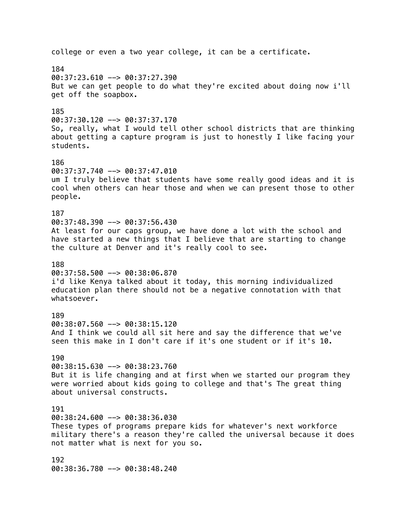college or even a two year college, it can be a certificate. 184 00:37:23.610 --> 00:37:27.390 But we can get people to do what they're excited about doing now i'll get off the soapbox. 185  $00:37:30.120$  -->  $00:37:37.170$ So, really, what I would tell other school districts that are thinking about getting a capture program is just to honestly I like facing your students. 186  $00:37:37.740$  -->  $00:37:47.010$ um I truly believe that students have some really good ideas and it is cool when others can hear those and when we can present those to other people. 187 00:37:48.390 --> 00:37:56.430 At least for our caps group, we have done a lot with the school and have started a new things that I believe that are starting to change the culture at Denver and it's really cool to see. 188 00:37:58.500 --> 00:38:06.870 i'd like Kenya talked about it today, this morning individualized education plan there should not be a negative connotation with that whatsoever. 189 00:38:07.560 --> 00:38:15.120 And I think we could all sit here and say the difference that we've seen this make in I don't care if it's one student or if it's 10. 190 00:38:15.630 --> 00:38:23.760 But it is life changing and at first when we started our program they were worried about kids going to college and that's The great thing about universal constructs. 191 00:38:24.600 --> 00:38:36.030 These types of programs prepare kids for whatever's next workforce military there's a reason they're called the universal because it does not matter what is next for you so. 192 00:38:36.780 --> 00:38:48.240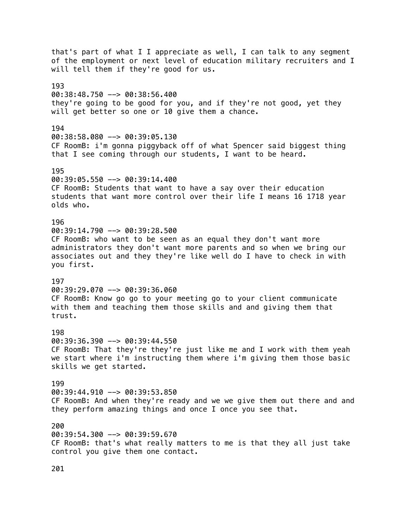that's part of what I I appreciate as well, I can talk to any segment of the employment or next level of education military recruiters and I will tell them if they're good for us. 193 00:38:48.750 --> 00:38:56.400 they're going to be good for you, and if they're not good, yet they will get better so one or 10 give them a chance. 194 00:38:58.080 --> 00:39:05.130 CF RoomB: i'm gonna piggyback off of what Spencer said biggest thing that I see coming through our students, I want to be heard. 195 00:39:05.550 --> 00:39:14.400 CF RoomB: Students that want to have a say over their education students that want more control over their life I means 16 1718 year olds who. 196 00:39:14.790 --> 00:39:28.500 CF RoomB: who want to be seen as an equal they don't want more administrators they don't want more parents and so when we bring our associates out and they they're like well do I have to check in with you first. 197 00:39:29.070 --> 00:39:36.060 CF RoomB: Know go go to your meeting go to your client communicate with them and teaching them those skills and and giving them that trust. 198 00:39:36.390 --> 00:39:44.550 CF RoomB: That they're they're just like me and I work with them yeah we start where i'm instructing them where i'm giving them those basic skills we get started. 199 00:39:44.910 --> 00:39:53.850 CF RoomB: And when they're ready and we we give them out there and and they perform amazing things and once I once you see that. 200 00:39:54.300 --> 00:39:59.670 CF RoomB: that's what really matters to me is that they all just take control you give them one contact.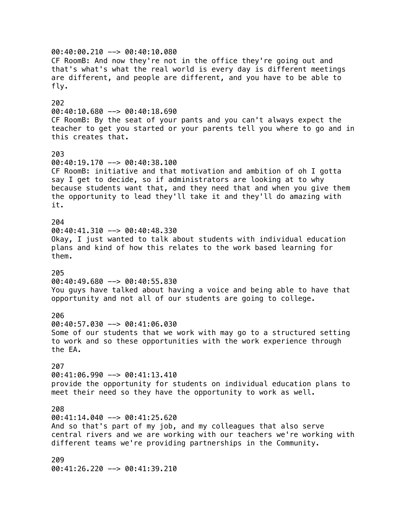00:40:00.210 --> 00:40:10.080 CF RoomB: And now they're not in the office they're going out and that's what's what the real world is every day is different meetings are different, and people are different, and you have to be able to fly. 202 00:40:10.680 --> 00:40:18.690 CF RoomB: By the seat of your pants and you can't always expect the teacher to get you started or your parents tell you where to go and in this creates that. 203 00:40:19.170 --> 00:40:38.100 CF RoomB: initiative and that motivation and ambition of oh I gotta say I get to decide, so if administrators are looking at to why because students want that, and they need that and when you give them the opportunity to lead they'll take it and they'll do amazing with it. 204 00:40:41.310 --> 00:40:48.330 Okay, I just wanted to talk about students with individual education plans and kind of how this relates to the work based learning for them. 205 00:40:49.680 --> 00:40:55.830 You guys have talked about having a voice and being able to have that opportunity and not all of our students are going to college. 206 00:40:57.030 --> 00:41:06.030 Some of our students that we work with may go to a structured setting to work and so these opportunities with the work experience through the EA. 207 00:41:06.990 --> 00:41:13.410 provide the opportunity for students on individual education plans to meet their need so they have the opportunity to work as well. 208 00:41:14.040 --> 00:41:25.620 And so that's part of my job, and my colleagues that also serve central rivers and we are working with our teachers we're working with different teams we're providing partnerships in the Community. 209 00:41:26.220 --> 00:41:39.210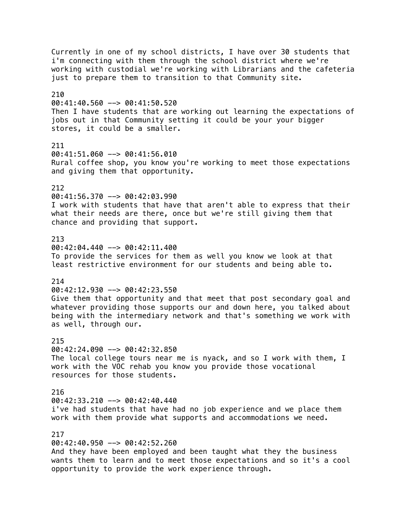Currently in one of my school districts, I have over 30 students that i'm connecting with them through the school district where we're working with custodial we're working with Librarians and the cafeteria just to prepare them to transition to that Community site. 210 00:41:40.560 --> 00:41:50.520 Then I have students that are working out learning the expectations of jobs out in that Community setting it could be your your bigger stores, it could be a smaller. 211 00:41:51.060 --> 00:41:56.010 Rural coffee shop, you know you're working to meet those expectations and giving them that opportunity. 212 00:41:56.370 --> 00:42:03.990 I work with students that have that aren't able to express that their what their needs are there, once but we're still giving them that chance and providing that support. 213  $00:42:04.440$  -->  $00:42:11.400$ To provide the services for them as well you know we look at that least restrictive environment for our students and being able to. 214 00:42:12.930 --> 00:42:23.550 Give them that opportunity and that meet that post secondary goal and whatever providing those supports our and down here, you talked about being with the intermediary network and that's something we work with as well, through our. 215 00:42:24.090 --> 00:42:32.850 The local college tours near me is nyack, and so I work with them, I work with the VOC rehab you know you provide those vocational resources for those students. 216 00:42:33.210 --> 00:42:40.440 i've had students that have had no job experience and we place them work with them provide what supports and accommodations we need. 217 00:42:40.950 --> 00:42:52.260 And they have been employed and been taught what they the business wants them to learn and to meet those expectations and so it's a cool opportunity to provide the work experience through.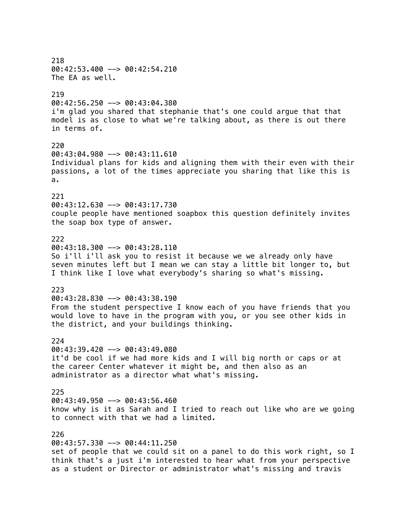218 00:42:53.400 --> 00:42:54.210 The EA as well. 219 00:42:56.250 --> 00:43:04.380 i'm glad you shared that stephanie that's one could argue that that model is as close to what we're talking about, as there is out there in terms of. 220 00:43:04.980 --> 00:43:11.610 Individual plans for kids and aligning them with their even with their passions, a lot of the times appreciate you sharing that like this is a. 221 00:43:12.630 --> 00:43:17.730 couple people have mentioned soapbox this question definitely invites the soap box type of answer. 222  $00:43:18.300$  -->  $00:43:28.110$ So i'll i'll ask you to resist it because we we already only have seven minutes left but I mean we can stay a little bit longer to, but I think like I love what everybody's sharing so what's missing. 223 00:43:28.830 --> 00:43:38.190 From the student perspective I know each of you have friends that you would love to have in the program with you, or you see other kids in the district, and your buildings thinking. 224 00:43:39.420 --> 00:43:49.080 it'd be cool if we had more kids and I will big north or caps or at the career Center whatever it might be, and then also as an administrator as a director what what's missing. 225 00:43:49.950 --> 00:43:56.460 know why is it as Sarah and I tried to reach out like who are we going to connect with that we had a limited. 226 00:43:57.330 --> 00:44:11.250 set of people that we could sit on a panel to do this work right, so I think that's a just i'm interested to hear what from your perspective as a student or Director or administrator what's missing and travis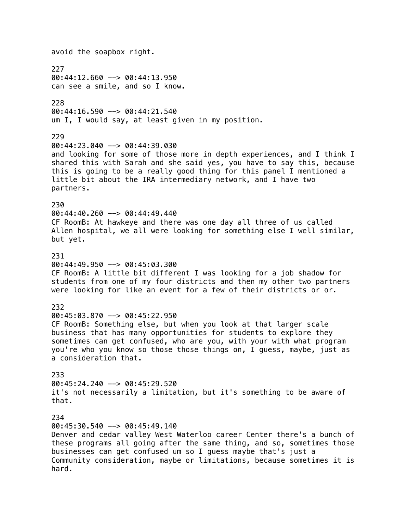avoid the soapbox right. 227 00:44:12.660 --> 00:44:13.950 can see a smile, and so I know. 228 00:44:16.590 --> 00:44:21.540 um I, I would say, at least given in my position. 229 00:44:23.040 --> 00:44:39.030 and looking for some of those more in depth experiences, and I think I shared this with Sarah and she said yes, you have to say this, because this is going to be a really good thing for this panel I mentioned a little bit about the IRA intermediary network, and I have two partners. 230  $00:44:40.260$  -->  $00:44:49.440$ CF RoomB: At hawkeye and there was one day all three of us called Allen hospital, we all were looking for something else I well similar, but yet. 231 00:44:49.950 --> 00:45:03.300 CF RoomB: A little bit different I was looking for a job shadow for students from one of my four districts and then my other two partners were looking for like an event for a few of their districts or or. 232 00:45:03.870 --> 00:45:22.950 CF RoomB: Something else, but when you look at that larger scale business that has many opportunities for students to explore they sometimes can get confused, who are you, with your with what program you're who you know so those those things on, I guess, maybe, just as a consideration that. 233 00:45:24.240 --> 00:45:29.520 it's not necessarily a limitation, but it's something to be aware of that. 234 00:45:30.540 --> 00:45:49.140 Denver and cedar valley West Waterloo career Center there's a bunch of these programs all going after the same thing, and so, sometimes those businesses can get confused um so I guess maybe that's just a Community consideration, maybe or limitations, because sometimes it is hard.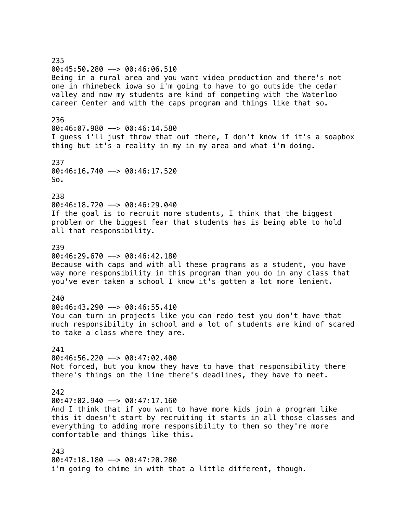235 00:45:50.280 --> 00:46:06.510 Being in a rural area and you want video production and there's not one in rhinebeck iowa so i'm going to have to go outside the cedar valley and now my students are kind of competing with the Waterloo career Center and with the caps program and things like that so. 236 00:46:07.980 --> 00:46:14.580 I guess i'll just throw that out there, I don't know if it's a soapbox thing but it's a reality in my in my area and what i'm doing. 237 00:46:16.740 --> 00:46:17.520 So. 238 00:46:18.720 --> 00:46:29.040 If the goal is to recruit more students, I think that the biggest problem or the biggest fear that students has is being able to hold all that responsibility. 239  $0.46:29.670$   $\rightarrow$  00:46:42.180 Because with caps and with all these programs as a student, you have way more responsibility in this program than you do in any class that you've ever taken a school I know it's gotten a lot more lenient. 240 00:46:43.290 --> 00:46:55.410 You can turn in projects like you can redo test you don't have that much responsibility in school and a lot of students are kind of scared to take a class where they are. 241  $00:46:56.220$  -->  $00:47:02.400$ Not forced, but you know they have to have that responsibility there there's things on the line there's deadlines, they have to meet. 242  $00:47:02.940$  -->  $00:47:17.160$ And I think that if you want to have more kids join a program like this it doesn't start by recruiting it starts in all those classes and everything to adding more responsibility to them so they're more comfortable and things like this. 243 00:47:18.180 --> 00:47:20.280 i'm going to chime in with that a little different, though.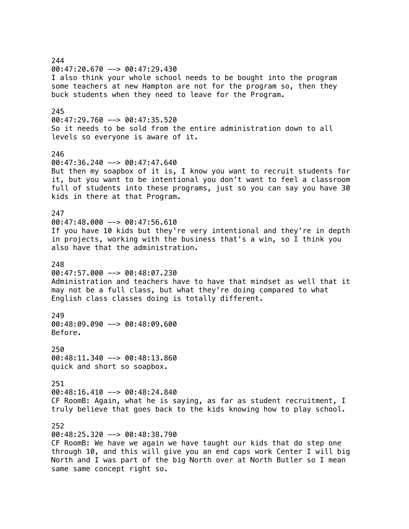244 00:47:20.670 --> 00:47:29.430 I also think your whole school needs to be bought into the program some teachers at new Hampton are not for the program so, then they buck students when they need to leave for the Program. 245  $00:47:29.760$  -->  $00:47:35.520$ So it needs to be sold from the entire administration down to all levels so everyone is aware of it. 246 00:47:36.240 --> 00:47:47.640 But then my soapbox of it is, I know you want to recruit students for it, but you want to be intentional you don't want to feel a classroom full of students into these programs, just so you can say you have 30 kids in there at that Program. 247  $00:47:48.000$  -->  $00:47:56.610$ If you have 10 kids but they're very intentional and they're in depth in projects, working with the business that's a win, so I think you also have that the administration. 248 00:47:57.000 --> 00:48:07.230 Administration and teachers have to have that mindset as well that it may not be a full class, but what they're doing compared to what English class classes doing is totally different. 249 00:48:09.090 --> 00:48:09.600 Before. 250  $00:48:11.340$  -->  $00:48:13.860$ quick and short so soapbox. 251 00:48:16.410 --> 00:48:24.840 CF RoomB: Again, what he is saying, as far as student recruitment, I truly believe that goes back to the kids knowing how to play school. 252 00:48:25.320 --> 00:48:38.790 CF RoomB: We have we again we have taught our kids that do step one through 10, and this will give you an end caps work Center I will big North and I was part of the big North over at North Butler so I mean same same concept right so.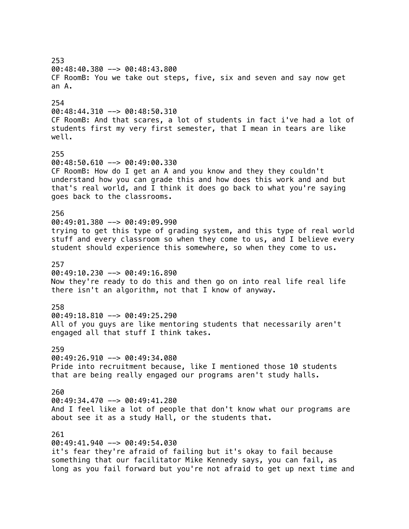253 00:48:40.380 --> 00:48:43.800 CF RoomB: You we take out steps, five, six and seven and say now get an A. 254 00:48:44.310 --> 00:48:50.310 CF RoomB: And that scares, a lot of students in fact i've had a lot of students first my very first semester, that I mean in tears are like well. 255 00:48:50.610 --> 00:49:00.330 CF RoomB: How do I get an A and you know and they they couldn't understand how you can grade this and how does this work and and but that's real world, and I think it does go back to what you're saying goes back to the classrooms. 256 00:49:01.380 --> 00:49:09.990 trying to get this type of grading system, and this type of real world stuff and every classroom so when they come to us, and I believe every student should experience this somewhere, so when they come to us. 257 00:49:10.230 --> 00:49:16.890 Now they're ready to do this and then go on into real life real life there isn't an algorithm, not that I know of anyway. 258 00:49:18.810 --> 00:49:25.290 All of you guys are like mentoring students that necessarily aren't engaged all that stuff I think takes. 259  $00:49:26.910$  -->  $00:49:34.080$ Pride into recruitment because, like I mentioned those 10 students that are being really engaged our programs aren't study halls. 260  $00:49:34.470$  -->  $00:49:41.280$ And I feel like a lot of people that don't know what our programs are about see it as a study Hall, or the students that. 261 00:49:41.940 --> 00:49:54.030 it's fear they're afraid of failing but it's okay to fail because something that our facilitator Mike Kennedy says, you can fail, as long as you fail forward but you're not afraid to get up next time and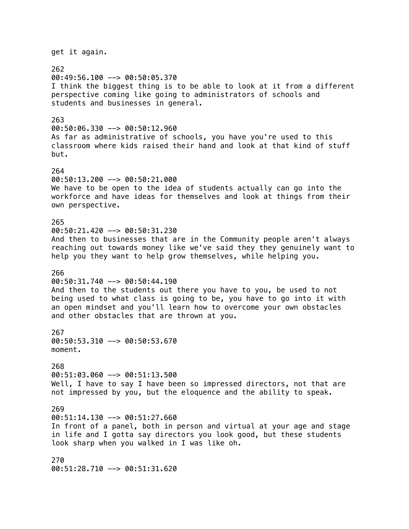get it again. 262 00:49:56.100 --> 00:50:05.370 I think the biggest thing is to be able to look at it from a different perspective coming like going to administrators of schools and students and businesses in general. 263 00:50:06.330 --> 00:50:12.960 As far as administrative of schools, you have you're used to this classroom where kids raised their hand and look at that kind of stuff but. 264 00:50:13.200 --> 00:50:21.000 We have to be open to the idea of students actually can go into the workforce and have ideas for themselves and look at things from their own perspective. 265 00:50:21.420 --> 00:50:31.230 And then to businesses that are in the Community people aren't always reaching out towards money like we've said they they genuinely want to help you they want to help grow themselves, while helping you. 266  $00:50:31.740$  -->  $00:50:44.190$ And then to the students out there you have to you, be used to not being used to what class is going to be, you have to go into it with an open mindset and you'll learn how to overcome your own obstacles and other obstacles that are thrown at you. 267 00:50:53.310 --> 00:50:53.670 moment. 268 00:51:03.060 --> 00:51:13.500 Well, I have to say I have been so impressed directors, not that are not impressed by you, but the eloquence and the ability to speak. 269 00:51:14.130 --> 00:51:27.660 In front of a panel, both in person and virtual at your age and stage in life and I gotta say directors you look good, but these students look sharp when you walked in I was like oh. 270 00:51:28.710 --> 00:51:31.620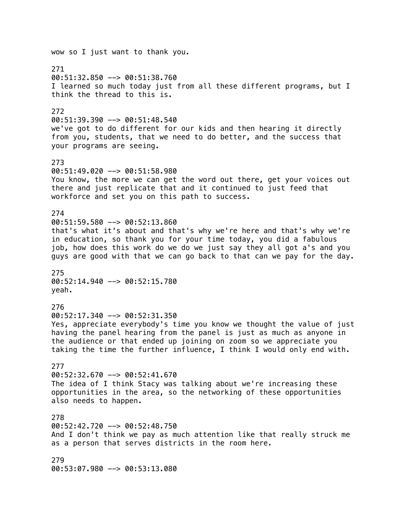wow so I just want to thank you. 271 00:51:32.850 --> 00:51:38.760 I learned so much today just from all these different programs, but I think the thread to this is. 272 00:51:39.390 --> 00:51:48.540 we've got to do different for our kids and then hearing it directly from you, students, that we need to do better, and the success that your programs are seeing. 273 00:51:49.020 --> 00:51:58.980 You know, the more we can get the word out there, get your voices out there and just replicate that and it continued to just feed that workforce and set you on this path to success. 274 00:51:59.580 --> 00:52:13.860 that's what it's about and that's why we're here and that's why we're in education, so thank you for your time today, you did a fabulous job, how does this work do we do we just say they all got a's and you guys are good with that we can go back to that can we pay for the day. 275 00:52:14.940 --> 00:52:15.780 yeah. 276 00:52:17.340 --> 00:52:31.350 Yes, appreciate everybody's time you know we thought the value of just having the panel hearing from the panel is just as much as anyone in the audience or that ended up joining on zoom so we appreciate you taking the time the further influence, I think I would only end with. 277  $00:52:32.670$  -->  $00:52:41.670$ The idea of I think Stacy was talking about we're increasing these opportunities in the area, so the networking of these opportunities also needs to happen. 278 00:52:42.720 --> 00:52:48.750 And I don't think we pay as much attention like that really struck me as a person that serves districts in the room here. 279 00:53:07.980 --> 00:53:13.080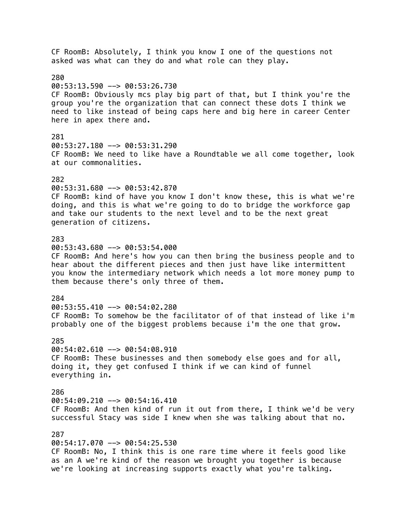CF RoomB: Absolutely, I think you know I one of the questions not asked was what can they do and what role can they play. 280  $00:53:13.590$  -->  $00:53:26.730$ CF RoomB: Obviously mcs play big part of that, but I think you're the group you're the organization that can connect these dots I think we need to like instead of being caps here and big here in career Center here in apex there and. 281 00:53:27.180 --> 00:53:31.290 CF RoomB: We need to like have a Roundtable we all come together, look at our commonalities. 282 00:53:31.680 --> 00:53:42.870 CF RoomB: kind of have you know I don't know these, this is what we're doing, and this is what we're going to do to bridge the workforce gap and take our students to the next level and to be the next great generation of citizens. 283  $00:53:43.680$  -->  $00:53:54.000$ CF RoomB: And here's how you can then bring the business people and to hear about the different pieces and then just have like intermittent you know the intermediary network which needs a lot more money pump to them because there's only three of them. 284  $00:53:55.410$  -->  $00:54:02.280$ CF RoomB: To somehow be the facilitator of of that instead of like i'm probably one of the biggest problems because i'm the one that grow. 285 00:54:02.610 --> 00:54:08.910 CF RoomB: These businesses and then somebody else goes and for all, doing it, they get confused I think if we can kind of funnel everything in. 286  $00:54:09.210$  -->  $00:54:16.410$ CF RoomB: And then kind of run it out from there, I think we'd be very successful Stacy was side I knew when she was talking about that no. 287 00:54:17.070 --> 00:54:25.530 CF RoomB: No, I think this is one rare time where it feels good like as an A we're kind of the reason we brought you together is because we're looking at increasing supports exactly what you're talking.